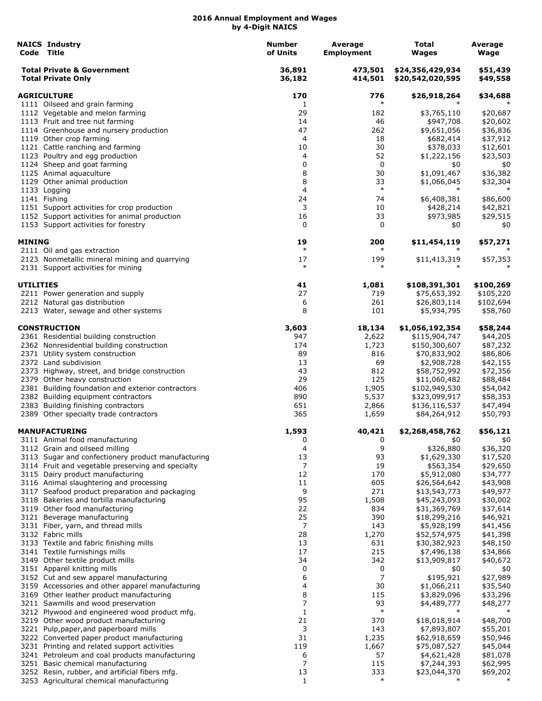|                    | <b>NAICS Industry</b><br>Code Title                                                        | <b>Number</b><br>of Units | Average<br><b>Employment</b> | Total<br>Wages                       | Average<br>Wage      |
|--------------------|--------------------------------------------------------------------------------------------|---------------------------|------------------------------|--------------------------------------|----------------------|
|                    | <b>Total Private &amp; Government</b><br><b>Total Private Only</b>                         | 36,891<br>36,182          | 473,501<br>414,501           | \$24,356,429,934<br>\$20,542,020,595 | \$51,439<br>\$49,558 |
| <b>AGRICULTURE</b> |                                                                                            | 170                       | 776                          | \$26,918,264                         | \$34,688             |
|                    | 1111 Oilseed and grain farming                                                             | 1                         | $\ast$                       |                                      |                      |
|                    | 1112 Vegetable and melon farming                                                           | 29                        | 182                          | \$3,765,110                          | \$20,687             |
|                    | 1113 Fruit and tree nut farming                                                            | 14                        | 46                           | \$947,708                            | \$20,602             |
|                    | 1114 Greenhouse and nursery production                                                     | 47<br>4                   | 262<br>18                    | \$9,651,056                          | \$36,836             |
|                    | 1119 Other crop farming<br>1121 Cattle ranching and farming                                | 10                        | 30                           | \$682,414<br>\$378,033               | \$37,912<br>\$12,601 |
|                    | 1123 Poultry and egg production                                                            | 4                         | 52                           | \$1,222,156                          | \$23,503             |
|                    | 1124 Sheep and goat farming                                                                | 0                         | 0                            | \$0                                  | \$0                  |
|                    | 1125 Animal aquaculture                                                                    | 8                         | 30                           | \$1,091,467                          | \$36,382             |
|                    | 1129 Other animal production                                                               | 8                         | 33                           | \$1,066,045                          | \$32,304             |
|                    | 1133 Logging                                                                               | 4                         | $\ast$                       | $\ast$                               | $\ast$               |
|                    | 1141 Fishing                                                                               | 24                        | 74                           | \$6,408,381                          | \$86,600             |
|                    | 1151 Support activities for crop production                                                | 3                         | 10                           | \$428,214                            | \$42,821             |
|                    | 1152 Support activities for animal production                                              | 16                        | 33                           | \$973,985                            | \$29,515             |
|                    | 1153 Support activities for forestry                                                       | 0                         | 0                            | \$0                                  | \$0                  |
| <b>MINING</b>      | 2111 Oil and gas extraction                                                                | 19<br>$\ast$              | 200<br>$\ast$                | \$11,454,119                         | \$57,271<br>$\ast$   |
|                    | 2123 Nonmetallic mineral mining and quarrying                                              | 17                        | 199                          | \$11,413,319                         | \$57,353             |
|                    | 2131 Support activities for mining                                                         | $\ast$                    | $\ast$                       |                                      |                      |
| <b>UTILITIES</b>   |                                                                                            | 41                        | 1,081                        | \$108,391,301                        | \$100,269            |
|                    | 2211 Power generation and supply                                                           | 27                        | 719                          | \$75,653,392                         | \$105,220            |
|                    | 2212 Natural gas distribution                                                              | 6                         | 261                          | \$26,803,114                         | \$102,694            |
|                    | 2213 Water, sewage and other systems                                                       | 8                         | 101                          | \$5,934,795                          | \$58,760             |
|                    | <b>CONSTRUCTION</b>                                                                        | 3,603                     | 18,134                       | \$1,056,192,354                      | \$58,244             |
|                    | 2361 Residential building construction                                                     | 947                       | 2,622                        | \$115,904,747                        | \$44,205             |
|                    | 2362 Nonresidential building construction                                                  | 174                       | 1,723                        | \$150,300,607                        | \$87,232             |
|                    | 2371 Utility system construction                                                           | 89                        | 816                          | \$70,833,902                         | \$86,806             |
|                    | 2372 Land subdivision                                                                      | 13                        | 69                           | \$2,908,728                          | \$42,155             |
|                    | 2373 Highway, street, and bridge construction                                              | 43                        | 812                          | \$58,752,992                         | \$72,356             |
|                    | 2379 Other heavy construction                                                              | 29                        | 125                          | \$11,060,482                         | \$88,484             |
|                    | 2381 Building foundation and exterior contractors                                          | 406                       | 1,905                        | \$102,949,530                        | \$54,042             |
|                    | 2382 Building equipment contractors<br>2383 Building finishing contractors                 | 890<br>651                | 5,537<br>2,866               | \$323,099,917<br>\$136,116,537       | \$58,353<br>\$47,494 |
|                    | 2389 Other specialty trade contractors                                                     | 365                       | 1,659                        | \$84,264,912                         | \$50,793             |
|                    | <b>MANUFACTURING</b>                                                                       | 1,593                     | 40,421                       | \$2,268,458,762                      | \$56,121             |
|                    | 3111 Animal food manufacturing                                                             | 0                         | 0                            | \$0                                  | \$0                  |
|                    | 3112 Grain and oilseed milling                                                             | 4                         | 9                            | \$326,880                            | \$36,320             |
|                    | 3113 Sugar and confectionery product manufacturing                                         | 13                        | 93                           | \$1,629,330                          | \$17,520             |
|                    | 3114 Fruit and vegetable preserving and specialty                                          | 7                         | 19                           | \$563,354                            | \$29,650             |
|                    | 3115 Dairy product manufacturing                                                           | 12                        | 170                          | \$5,912,080                          | \$34,777             |
|                    | 3116 Animal slaughtering and processing                                                    | 11                        | 605                          | \$26,564,642                         | \$43,908             |
|                    | 3117 Seafood product preparation and packaging                                             | 9                         | 271                          | \$13,543,773                         | \$49,977             |
|                    | 3118 Bakeries and tortilla manufacturing                                                   | 95<br>22                  | 1,508<br>834                 | \$45,243,093                         | \$30,002             |
|                    | 3119 Other food manufacturing<br>3121 Beverage manufacturing                               | 25                        | 390                          | \$31,369,769<br>\$18,299,216         | \$37,614<br>\$46,921 |
|                    | 3131 Fiber, yarn, and thread mills                                                         | $\overline{7}$            | 143                          | \$5,928,199                          | \$41,456             |
|                    | 3132 Fabric mills                                                                          | 28                        | 1,270                        | \$52,574,975                         | \$41,398             |
|                    | 3133 Textile and fabric finishing mills                                                    | 13                        | 631                          | \$30,382,923                         | \$48,150             |
|                    | 3141 Textile furnishings mills                                                             | 17                        | 215                          | \$7,496,138                          | \$34,866             |
|                    | 3149 Other textile product mills                                                           | 34                        | 342                          | \$13,909,817                         | \$40,672             |
|                    | 3151 Apparel knitting mills                                                                | 0                         | 0                            | \$0                                  | \$0                  |
|                    | 3152 Cut and sew apparel manufacturing                                                     | 6                         | 7                            | \$195,921                            | \$27,989             |
|                    | 3159 Accessories and other apparel manufacturing                                           | 4                         | 30                           | \$1,066,211                          | \$35,540             |
|                    | 3169 Other leather product manufacturing                                                   | 8                         | 115                          | \$3,829,096                          | \$33,296             |
|                    | 3211 Sawmills and wood preservation                                                        | 7                         | 93                           | \$4,489,777                          | \$48,277             |
|                    | 3212 Plywood and engineered wood product mfg.                                              | $\mathbf{1}$              | $\ast$                       | $\ast$                               | $\ast$               |
|                    | 3219 Other wood product manufacturing                                                      | 21                        | 370                          | \$18,018,914                         | \$48,700             |
|                    | 3221 Pulp, paper, and paperboard mills                                                     | 3<br>31                   | 143                          | \$7,893,807                          | \$55,201             |
|                    | 3222 Converted paper product manufacturing<br>3231 Printing and related support activities | 119                       | 1,235<br>1,667               | \$62,918,659<br>\$75,087,527         | \$50,946<br>\$45,044 |
|                    | 3241 Petroleum and coal products manufacturing                                             | 6                         | 57                           | \$4,621,428                          | \$81,078             |
|                    | 3251 Basic chemical manufacturing                                                          | 7                         | 115                          | \$7,244,393                          | \$62,995             |
|                    | 3252 Resin, rubber, and artificial fibers mfg.                                             | 13                        | 333                          | \$23,044,370                         | \$69,202             |
|                    | 3253 Agricultural chemical manufacturing                                                   | $\mathbf{1}$              | $\ast$                       | $\ast$                               |                      |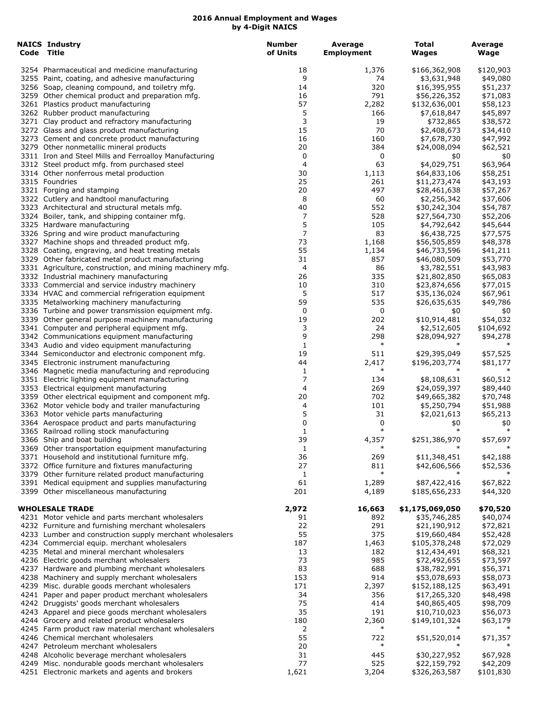| <b>NAICS Industry</b><br>Code Title                                                                      | <b>Number</b><br>of Units | Average<br><b>Employment</b> | <b>Total</b><br><b>Wages</b> | Average<br>Wage    |
|----------------------------------------------------------------------------------------------------------|---------------------------|------------------------------|------------------------------|--------------------|
| 3254 Pharmaceutical and medicine manufacturing                                                           | 18                        | 1,376                        | \$166,362,908                | \$120,903          |
| 3255 Paint, coating, and adhesive manufacturing                                                          | 9                         | 74                           | \$3,631,948                  | \$49,080           |
| 3256 Soap, cleaning compound, and toiletry mfg.                                                          | 14                        | 320                          | \$16,395,955                 | \$51,237           |
| 3259 Other chemical product and preparation mfg.                                                         | 16                        | 791                          | \$56,226,352                 | \$71,083           |
| 3261 Plastics product manufacturing                                                                      | 57                        | 2,282                        | \$132,636,001                | \$58,123           |
| 3262 Rubber product manufacturing                                                                        | 5                         | 166                          | \$7,618,847                  | \$45,897           |
| 3271 Clay product and refractory manufacturing                                                           | 3                         | 19                           | \$732,865                    | \$38,572           |
| 3272 Glass and glass product manufacturing                                                               | 15                        | 70                           | \$2,408,673                  | \$34,410           |
| 3273 Cement and concrete product manufacturing                                                           | 16                        | 160                          | \$7,678,730                  | \$47,992           |
| 3279 Other nonmetallic mineral products                                                                  | 20                        | 384                          | \$24,008,094                 | \$62,521           |
| 3311 Iron and Steel Mills and Ferroalloy Manufacturing                                                   | 0                         | 0                            | \$0                          | \$0                |
| 3312 Steel product mfg. from purchased steel                                                             | 4                         | 63                           | \$4,029,751                  | \$63,964           |
| 3314 Other nonferrous metal production                                                                   | 30                        | 1,113                        | \$64,833,106                 | \$58,251           |
| 3315 Foundries                                                                                           | 25                        | 261                          | \$11,273,474                 | \$43,193           |
| 3321 Forging and stamping                                                                                | 20                        | 497                          | \$28,461,638                 | \$57,267           |
| 3322 Cutlery and handtool manufacturing                                                                  | 8                         | 60                           | \$2,256,342                  | \$37,606           |
| 3323 Architectural and structural metals mfg.                                                            | 40                        | 552                          | \$30,242,304                 | \$54,787           |
| 3324 Boiler, tank, and shipping container mfg.                                                           | 7                         | 528                          | \$27,564,730                 | \$52,206           |
| 3325 Hardware manufacturing                                                                              | 5                         | 105                          | \$4,792,642                  | \$45,644           |
| 3326 Spring and wire product manufacturing                                                               | 7                         | 83                           | \$6,438,725                  | \$77,575           |
| 3327 Machine shops and threaded product mfg.                                                             | 73                        | 1,168                        | \$56,505,859                 | \$48,378           |
| 3328 Coating, engraving, and heat treating metals                                                        | 55                        | 1,134                        | \$46,733,596                 | \$41,211           |
| 3329 Other fabricated metal product manufacturing                                                        | 31                        | 857                          | \$46,080,509                 | \$53,770           |
| 3331 Agriculture, construction, and mining machinery mfg.                                                | 4                         | 86                           | \$3,782,551                  | \$43,983           |
| 3332 Industrial machinery manufacturing                                                                  | 26                        | 335                          | \$21,802,850                 | \$65,083           |
| 3333 Commercial and service industry machinery                                                           | 10                        | 310                          | \$23,874,656                 | \$77,015           |
| 3334 HVAC and commercial refrigeration equipment                                                         | 5<br>59                   | 517<br>535                   | \$35,136,024                 | \$67,961           |
| 3335 Metalworking machinery manufacturing                                                                | 0                         | 0                            | \$26,635,635                 | \$49,786           |
| 3336 Turbine and power transmission equipment mfg.<br>3339 Other general purpose machinery manufacturing | 19                        | 202                          | \$0<br>\$10,914,481          | \$0<br>\$54,032    |
| 3341 Computer and peripheral equipment mfg.                                                              | 3                         | 24                           | \$2,512,605                  | \$104,692          |
| 3342 Communications equipment manufacturing                                                              | 9                         | 298                          | \$28,094,927                 |                    |
| 3343 Audio and video equipment manufacturing                                                             | 1                         | $\ast$                       | $\ast$                       | \$94,278<br>$\ast$ |
| 3344 Semiconductor and electronic component mfg.                                                         | 19                        | 511                          | \$29,395,049                 | \$57,525           |
| 3345 Electronic instrument manufacturing                                                                 | 44                        | 2,417                        | \$196,203,774                | \$81,177           |
| 3346 Magnetic media manufacturing and reproducing                                                        | 1                         | $\ast$                       | $\ast$                       | ∗                  |
| 3351 Electric lighting equipment manufacturing                                                           | 7                         | 134                          | \$8,108,631                  | \$60,512           |
| 3353 Electrical equipment manufacturing                                                                  | 4                         | 269                          | \$24,059,397                 | \$89,440           |
| 3359 Other electrical equipment and component mfg.                                                       | 20                        | 702                          | \$49,665,382                 | \$70,748           |
| 3362 Motor vehicle body and trailer manufacturing                                                        | 4                         | 101                          | \$5,250,794                  | \$51,988           |
| 3363 Motor vehicle parts manufacturing                                                                   | 5                         | 31                           | \$2,021,613                  | \$65,213           |
| 3364 Aerospace product and parts manufacturing                                                           | 0                         | 0                            | \$0                          | \$0                |
| 3365 Railroad rolling stock manufacturing                                                                | 1                         | $\ast$                       | $\ast$                       | $\ast$             |
| 3366 Ship and boat building                                                                              | 39                        | 4,357                        | \$251,386,970                | \$57,697           |
| 3369 Other transportation equipment manufacturing                                                        | 1                         | $\ast$                       |                              |                    |
| 3371 Household and institutional furniture mfg.                                                          | 36                        | 269                          | \$11,348,451                 | \$42,188           |
| 3372 Office furniture and fixtures manufacturing                                                         | 27                        | 811                          | \$42,606,566                 | \$52,536           |
| 3379 Other furniture related product manufacturing                                                       | 1                         | $\ast$                       | $\ast$                       |                    |
| 3391 Medical equipment and supplies manufacturing                                                        | 61                        | 1,289                        | \$87,422,416                 | \$67,822           |
| 3399 Other miscellaneous manufacturing                                                                   | 201                       | 4,189                        | \$185,656,233                | \$44,320           |
| <b>WHOLESALE TRADE</b>                                                                                   | 2,972                     | 16,663                       | \$1,175,069,050              | \$70,520           |
| 4231 Motor vehicle and parts merchant wholesalers                                                        | 91                        | 892                          | \$35,746,285                 | \$40,074           |
| 4232 Furniture and furnishing merchant wholesalers                                                       | 22                        | 291                          | \$21,190,912                 | \$72,821           |
| 4233 Lumber and construction supply merchant wholesalers                                                 | 55                        | 375                          | \$19,660,484                 | \$52,428           |
| 4234 Commercial equip. merchant wholesalers                                                              | 187                       | 1,463                        | \$105,378,248                | \$72,029           |
| 4235 Metal and mineral merchant wholesalers                                                              | 13                        | 182                          | \$12,434,491                 | \$68,321           |
| 4236 Electric goods merchant wholesalers                                                                 | 73                        | 985                          | \$72,492,655                 | \$73,597           |
| 4237 Hardware and plumbing merchant wholesalers                                                          | 83                        | 688                          | \$38,782,991                 | \$56,371           |
| 4238 Machinery and supply merchant wholesalers                                                           | 153                       | 914                          | \$53,078,693                 | \$58,073           |
| 4239 Misc. durable goods merchant wholesalers                                                            | 171                       | 2,397                        | \$152,188,125                | \$63,491           |
| 4241 Paper and paper product merchant wholesalers                                                        | 34                        | 356                          | \$17,265,320                 | \$48,498           |
| 4242 Druggists' goods merchant wholesalers                                                               | 75                        | 414                          | \$40,865,405                 | \$98,709           |
| 4243 Apparel and piece goods merchant wholesalers                                                        | 35                        | 191                          | \$10,710,023                 | \$56,073           |
| 4244 Grocery and related product wholesalers                                                             | 180                       | 2,360                        | \$149,101,324                | \$63,179           |
| 4245 Farm product raw material merchant wholesalers                                                      | 2                         | $\ast$                       | $\ast$                       | $\ast$             |
| 4246 Chemical merchant wholesalers                                                                       | 55                        | 722                          | \$51,520,014                 | \$71,357           |
| 4247 Petroleum merchant wholesalers                                                                      | 20                        | $\ast$                       |                              |                    |
| 4248 Alcoholic beverage merchant wholesalers                                                             | 31                        | 445                          | \$30,227,952                 | \$67,928           |
| 4249 Misc. nondurable goods merchant wholesalers                                                         | 77                        | 525                          | \$22,159,792                 | \$42,209           |
| 4251 Electronic markets and agents and brokers                                                           | 1,621                     | 3,204                        | \$326,263,587                | \$101,830          |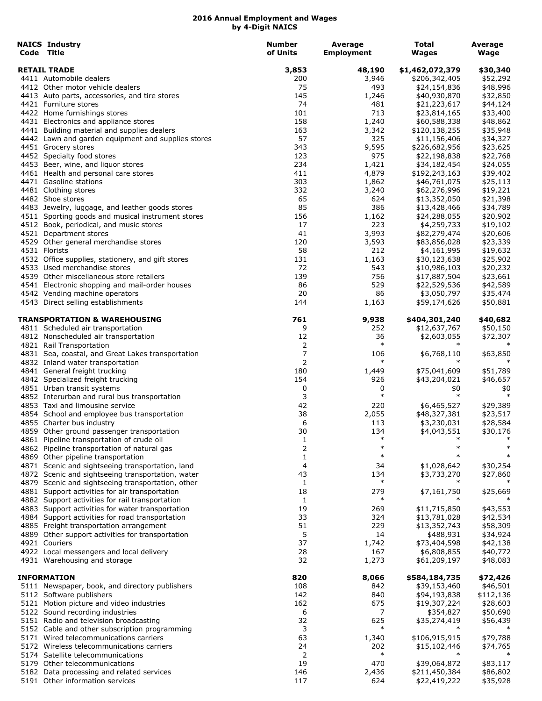| <b>NAICS Industry</b>                                                                               | <b>Number</b> | Average           | <b>Total</b>                  | Average              |
|-----------------------------------------------------------------------------------------------------|---------------|-------------------|-------------------------------|----------------------|
| Code Title                                                                                          | of Units      | <b>Employment</b> | <b>Wages</b>                  | Wage                 |
| <b>RETAIL TRADE</b>                                                                                 | 3,853         | 48,190            | \$1,462,072,379               | \$30,340             |
| 4411 Automobile dealers                                                                             | 200           | 3,946             | \$206,342,405                 | \$52,292             |
| 4412 Other motor vehicle dealers                                                                    | 75            | 493               | \$24,154,836                  | \$48,996             |
| 4413 Auto parts, accessories, and tire stores                                                       | 145           | 1,246             | \$40,930,870                  | \$32,850             |
| 4421 Furniture stores                                                                               | 74            | 481               | \$21,223,617                  | \$44,124             |
| 4422 Home furnishings stores                                                                        | 101           | 713               | \$23,814,165                  | \$33,400             |
| 4431 Electronics and appliance stores                                                               | 158           | 1,240             | \$60,588,338                  | \$48,862             |
| 4441 Building material and supplies dealers                                                         | 163           | 3,342             | \$120,138,255                 | \$35,948             |
| 4442 Lawn and garden equipment and supplies stores                                                  | 57            | 325               | \$11,156,406                  | \$34,327             |
| 4451 Grocery stores                                                                                 | 343           | 9,595             | \$226,682,956                 | \$23,625             |
| 4452 Specialty food stores                                                                          | 123           | 975               | \$22,198,838                  | \$22,768             |
| 4453 Beer, wine, and liquor stores                                                                  | 234<br>411    | 1,421<br>4,879    | \$34,182,454                  | \$24,055             |
| 4461 Health and personal care stores<br>4471 Gasoline stations                                      | 303           | 1,862             | \$192,243,163<br>\$46,761,075 | \$39,402<br>\$25,113 |
| 4481 Clothing stores                                                                                | 332           | 3,240             | \$62,276,996                  | \$19,221             |
| 4482 Shoe stores                                                                                    | 65            | 624               | \$13,352,050                  | \$21,398             |
| 4483 Jewelry, luggage, and leather goods stores                                                     | 85            | 386               | \$13,428,466                  | \$34,789             |
| 4511 Sporting goods and musical instrument stores                                                   | 156           | 1,162             | \$24,288,055                  | \$20,902             |
| 4512 Book, periodical, and music stores                                                             | 17            | 223               | \$4,259,733                   | \$19,102             |
| 4521 Department stores                                                                              | 41            | 3,993             | \$82,279,474                  | \$20,606             |
| 4529 Other general merchandise stores                                                               | 120           | 3,593             | \$83,856,028                  | \$23,339             |
| 4531 Florists                                                                                       | 58            | 212               | \$4,161,995                   | \$19,632             |
| 4532 Office supplies, stationery, and gift stores                                                   | 131           | 1,163             | \$30,123,638                  | \$25,902             |
| 4533 Used merchandise stores                                                                        | 72            | 543               | \$10,986,103                  | \$20,232             |
| 4539 Other miscellaneous store retailers                                                            | 139           | 756               | \$17,887,504                  | \$23,661             |
| 4541 Electronic shopping and mail-order houses                                                      | 86            | 529               | \$22,529,536                  | \$42,589             |
| 4542 Vending machine operators                                                                      | 20            | 86                | \$3,050,797                   | \$35,474             |
| 4543 Direct selling establishments                                                                  | 144           | 1,163             | \$59,174,626                  | \$50,881             |
| TRANSPORTATION & WAREHOUSING                                                                        | 761           | 9,938             | \$404,301,240                 | \$40,682             |
| 4811 Scheduled air transportation                                                                   | 9             | 252               | \$12,637,767                  | \$50,150             |
| 4812 Nonscheduled air transportation                                                                | 12            | 36                | \$2,603,055                   | \$72,307             |
| 4821 Rail Transportation                                                                            | 2             | $\ast$            |                               |                      |
| 4831 Sea, coastal, and Great Lakes transportation                                                   | 7             | 106               | \$6,768,110                   | \$63,850             |
| 4832 Inland water transportation                                                                    | 2             | $\ast$            | $\ast$                        | $\ast$               |
| 4841 General freight trucking                                                                       | 180           | 1,449             | \$75,041,609                  | \$51,789             |
| 4842 Specialized freight trucking                                                                   | 154           | 926               | \$43,204,021                  | \$46,657             |
| 4851 Urban transit systems                                                                          | 0             | 0                 | \$0                           | \$0                  |
| 4852 Interurban and rural bus transportation                                                        | 3             | $\ast$            | $\ast$                        | $\ast$               |
| 4853 Taxi and limousine service                                                                     | 42            | 220               | \$6,465,527                   | \$29,389             |
| 4854 School and employee bus transportation                                                         | 38            | 2,055             | \$48,327,381                  | \$23,517             |
| 4855 Charter bus industry                                                                           | 6             | 113               | \$3,230,031                   | \$28,584             |
| 4859 Other ground passenger transportation                                                          | 30            | 134               | \$4,043,551                   | \$30,176             |
| 4861 Pipeline transportation of crude oil                                                           | 1             | $\ast$            |                               |                      |
| 4862 Pipeline transportation of natural gas                                                         | 2             | $\ast$<br>$\ast$  | $\ast$                        | $\ast$               |
| 4869 Other pipeline transportation                                                                  | 1             |                   |                               |                      |
| 4871 Scenic and sightseeing transportation, land                                                    | 4             | 34                | \$1,028,642                   | \$30,254             |
| 4872 Scenic and sightseeing transportation, water                                                   | 43            | 134<br>$\ast$     | \$3,733,270                   | \$27,860             |
| 4879 Scenic and sightseeing transportation, other                                                   | 1             |                   |                               |                      |
| 4881 Support activities for air transportation                                                      | 18            | 279<br>$\ast$     | \$7,161,750                   | \$25,669             |
| 4882 Support activities for rail transportation                                                     | 1<br>19       | 269               |                               |                      |
| 4883 Support activities for water transportation<br>4884 Support activities for road transportation | 33            | 324               | \$11,715,850<br>\$13,781,028  | \$43,553<br>\$42,534 |
| 4885 Freight transportation arrangement                                                             | 51            | 229               | \$13,352,743                  | \$58,309             |
| 4889 Other support activities for transportation                                                    | 5             | 14                | \$488,931                     | \$34,924             |
| 4921 Couriers                                                                                       | 37            | 1,742             | \$73,404,598                  | \$42,138             |
| 4922 Local messengers and local delivery                                                            | 28            | 167               | \$6,808,855                   | \$40,772             |
| 4931 Warehousing and storage                                                                        | 32            | 1,273             | \$61,209,197                  | \$48,083             |
| <b>INFORMATION</b>                                                                                  | 820           | 8,066             | \$584,184,735                 | \$72,426             |
| 5111 Newspaper, book, and directory publishers                                                      | 108           | 842               | \$39,153,460                  | \$46,501             |
| 5112 Software publishers                                                                            | 142           | 840               | \$94,193,838                  | \$112,136            |
| 5121 Motion picture and video industries                                                            | 162           | 675               | \$19,307,224                  | \$28,603             |
| 5122 Sound recording industries                                                                     | 6             | 7                 | \$354,827                     | \$50,690             |
| 5151 Radio and television broadcasting                                                              | 32            | 625               | \$35,274,419                  | \$56,439             |
| 5152 Cable and other subscription programming                                                       | 3             | $\ast$            |                               |                      |
| 5171 Wired telecommunications carriers                                                              | 63            | 1,340             | \$106,915,915                 | \$79,788             |
| 5172 Wireless telecommunications carriers                                                           | 24            | 202               | \$15,102,446                  | \$74,765             |
| 5174 Satellite telecommunications                                                                   | 2             | $\ast$            | $\ast$                        |                      |
| 5179 Other telecommunications                                                                       | 19            | 470               | \$39,064,872                  | \$83,117             |
| 5182 Data processing and related services                                                           | 146           | 2,436             | \$211,450,384                 | \$86,802             |
| 5191 Other information services                                                                     | 117           | 624               | \$22,419,222                  | \$35,928             |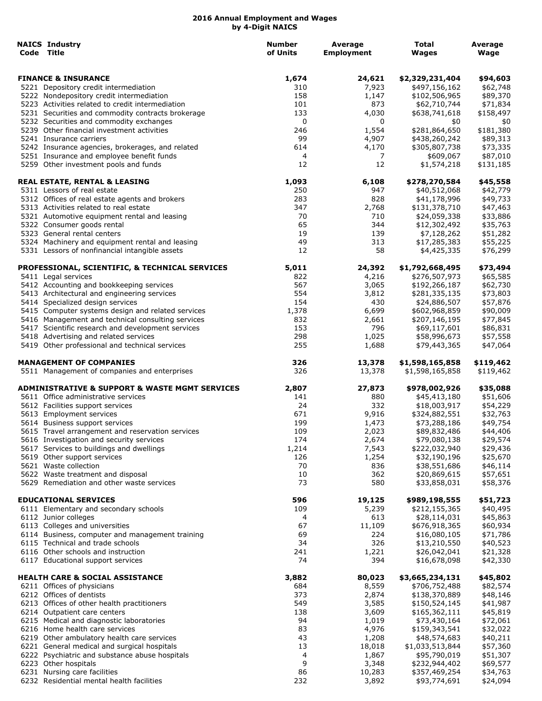| <b>NAICS Industry</b><br>Code Title                                                                    | Number<br>of Units | Average<br><b>Employment</b> | Total<br><b>Wages</b>         | Average<br>Wage       |
|--------------------------------------------------------------------------------------------------------|--------------------|------------------------------|-------------------------------|-----------------------|
| <b>FINANCE &amp; INSURANCE</b>                                                                         | 1,674              | 24,621                       | \$2,329,231,404               | \$94,603              |
| 5221 Depository credit intermediation                                                                  | 310                | 7,923                        | \$497,156,162                 | \$62,748              |
| 5222 Nondepository credit intermediation                                                               | 158                | 1,147                        | \$102,506,965                 | \$89,370              |
| 5223 Activities related to credit intermediation                                                       | 101                | 873                          | \$62,710,744                  | \$71,834              |
| 5231 Securities and commodity contracts brokerage                                                      | 133                | 4,030                        | \$638,741,618                 | \$158,497             |
| 5232 Securities and commodity exchanges                                                                | 0                  | 0                            | \$0                           | \$0                   |
| 5239 Other financial investment activities                                                             | 246                | 1,554                        | \$281,864,650                 | \$181,380             |
| 5241 Insurance carriers                                                                                | 99                 | 4,907                        | \$438,260,242                 | \$89,313              |
| 5242 Insurance agencies, brokerages, and related                                                       | 614                | 4,170                        | \$305,807,738                 | \$73,335              |
| 5251 Insurance and employee benefit funds<br>5259 Other investment pools and funds                     | 4<br>12            | 7<br>12                      | \$609,067<br>\$1,574,218      | \$87,010<br>\$131,185 |
| REAL ESTATE, RENTAL & LEASING                                                                          | 1,093              | 6,108                        | \$278,270,584                 | \$45,558              |
| 5311 Lessors of real estate                                                                            | 250                | 947                          | \$40,512,068                  | \$42,779              |
| 5312 Offices of real estate agents and brokers                                                         | 283                | 828                          | \$41,178,996                  | \$49,733              |
| 5313 Activities related to real estate                                                                 | 347                | 2,768                        | \$131,378,710                 | \$47,463              |
| 5321 Automotive equipment rental and leasing                                                           | 70                 | 710                          | \$24,059,338                  | \$33,886              |
| 5322 Consumer goods rental                                                                             | 65                 | 344                          | \$12,302,492                  | \$35,763              |
| 5323 General rental centers                                                                            | 19                 | 139                          | \$7,128,262                   | \$51,282              |
| 5324 Machinery and equipment rental and leasing                                                        | 49                 | 313                          | \$17,285,383                  | \$55,225              |
| 5331 Lessors of nonfinancial intangible assets                                                         | 12                 | 58                           | \$4,425,335                   | \$76,299              |
| PROFESSIONAL, SCIENTIFIC, & TECHNICAL SERVICES                                                         | 5,011              | 24,392                       | \$1,792,668,495               | \$73,494              |
| 5411 Legal services                                                                                    | 822                | 4,216                        | \$276,507,973                 | \$65,585              |
| 5412 Accounting and bookkeeping services                                                               | 567                | 3,065                        | \$192,266,187                 | \$62,730              |
| 5413 Architectural and engineering services                                                            | 554                | 3,812                        | \$281,335,135                 | \$73,803              |
| 5414 Specialized design services                                                                       | 154<br>1,378       | 430                          | \$24,886,507<br>\$602,968,859 | \$57,876<br>\$90,009  |
| 5415 Computer systems design and related services                                                      | 832                | 6,699                        |                               |                       |
| 5416 Management and technical consulting services<br>5417 Scientific research and development services | 153                | 2,661<br>796                 | \$207,146,195<br>\$69,117,601 | \$77,845<br>\$86,831  |
| 5418 Advertising and related services                                                                  | 298                | 1,025                        | \$58,996,673                  | \$57,558              |
| 5419 Other professional and technical services                                                         | 255                | 1,688                        | \$79,443,365                  | \$47,064              |
| <b>MANAGEMENT OF COMPANIES</b>                                                                         | 326                | 13,378                       | \$1,598,165,858               | \$119,462             |
| 5511 Management of companies and enterprises                                                           | 326                | 13,378                       | \$1,598,165,858               | \$119,462             |
| ADMINISTRATIVE & SUPPORT & WASTE MGMT SERVICES                                                         | 2,807              | 27,873                       | \$978,002,926                 | \$35,088              |
| 5611 Office administrative services                                                                    | 141                | 880                          | \$45,413,180                  | \$51,606              |
| 5612 Facilities support services                                                                       | 24                 | 332                          | \$18,003,917                  | \$54,229              |
| 5613 Employment services                                                                               | 671                | 9,916                        | \$324,882,551                 | \$32,763              |
| 5614 Business support services                                                                         | 199                | 1,473                        | \$73,288,186                  | \$49,754              |
| 5615 Travel arrangement and reservation services                                                       | 109                | 2,023                        | \$89,832,486                  | \$44,406              |
| 5616 Investigation and security services                                                               | 174                | 2,674                        | \$79,080,138                  | \$29,574              |
| 5617 Services to buildings and dwellings                                                               | 1,214              | 7,543                        | \$222,032,940                 | \$29,436              |
| 5619 Other support services                                                                            | 126                | 1,254                        | \$32,190,196                  | \$25,670              |
| 5621 Waste collection                                                                                  | 70                 | 836                          | \$38,551,686                  | \$46,114              |
| 5622 Waste treatment and disposal<br>5629 Remediation and other waste services                         | 10<br>73           | 362<br>580                   | \$20,869,615<br>\$33,858,031  | \$57,651<br>\$58,376  |
|                                                                                                        |                    |                              |                               |                       |
| <b>EDUCATIONAL SERVICES</b>                                                                            | 596                | 19,125                       | \$989,198,555                 | \$51,723              |
| 6111 Elementary and secondary schools                                                                  | 109                | 5,239                        | \$212,155,365                 | \$40,495              |
| 6112 Junior colleges                                                                                   | 4                  | 613                          | \$28,114,031                  | \$45,863              |
| 6113 Colleges and universities                                                                         | 67                 | 11,109                       | \$676,918,365                 | \$60,934              |
| 6114 Business, computer and management training                                                        | 69                 | 224                          | \$16,080,105                  | \$71,786              |
| 6115 Technical and trade schools                                                                       | 34                 | 326                          | \$13,210,550                  | \$40,523              |
| 6116 Other schools and instruction<br>6117 Educational support services                                | 241<br>74          | 1,221<br>394                 | \$26,042,041<br>\$16,678,098  | \$21,328<br>\$42,330  |
|                                                                                                        |                    |                              |                               |                       |
| HEALTH CARE & SOCIAL ASSISTANCE                                                                        | 3,882              | 80,023                       | \$3,665,234,131               | \$45,802              |
| 6211 Offices of physicians                                                                             | 684                | 8,559                        | \$706,752,488                 | \$82,574              |
| 6212 Offices of dentists                                                                               | 373                | 2,874                        | \$138,370,889                 | \$48,146              |
| 6213 Offices of other health practitioners                                                             | 549                | 3,585                        | \$150,524,145                 | \$41,987              |
| 6214 Outpatient care centers<br>6215 Medical and diagnostic laboratories                               | 138<br>94          | 3,609<br>1,019               | \$165,362,111<br>\$73,430,164 | \$45,819<br>\$72,061  |
| 6216 Home health care services                                                                         | 83                 | 4,976                        | \$159,343,541                 | \$32,022              |
| 6219 Other ambulatory health care services                                                             | 43                 | 1,208                        | \$48,574,683                  | \$40,211              |
| 6221 General medical and surgical hospitals                                                            | 13                 | 18,018                       | \$1,033,513,844               | \$57,360              |
| 6222 Psychiatric and substance abuse hospitals                                                         | 4                  | 1,867                        | \$95,790,019                  |                       |
| 6223 Other hospitals                                                                                   | 9                  | 3,348                        | \$232,944,402                 | \$51,307<br>\$69,577  |
| 6231 Nursing care facilities                                                                           | 86                 | 10,283                       | \$357,469,254                 | \$34,763              |
| 6232 Residential mental health facilities                                                              | 232                | 3,892                        | \$93,774,691                  | \$24,094              |
|                                                                                                        |                    |                              |                               |                       |